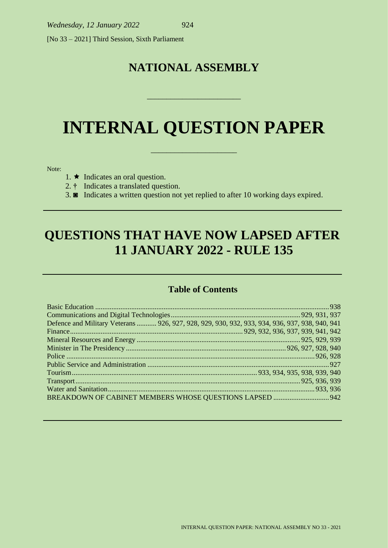[No 33 – 2021] Third Session, Sixth Parliament

# **NATIONAL ASSEMBLY**

\_\_\_\_\_\_\_\_\_\_\_\_\_\_\_\_\_\_\_\_\_\_\_\_

# **INTERNAL QUESTION PAPER**

\_\_\_\_\_\_\_\_\_\_\_\_\_\_\_\_\_\_\_\_\_\_

Note:

- 1.  $\star$  Indicates an oral question.
- 2. **†** Indicates a translated question.
- 3. **◙** Indicates a written question not yet replied to after 10 working days expired.

# **QUESTIONS THAT HAVE NOW LAPSED AFTER 11 JANUARY 2022 - RULE 135**

# **Table of Contents**

| Defence and Military Veterans  926, 927, 928, 929, 930, 932, 933, 934, 936, 937, 938, 940, 941 |  |
|------------------------------------------------------------------------------------------------|--|
|                                                                                                |  |
|                                                                                                |  |
|                                                                                                |  |
|                                                                                                |  |
|                                                                                                |  |
|                                                                                                |  |
|                                                                                                |  |
|                                                                                                |  |
|                                                                                                |  |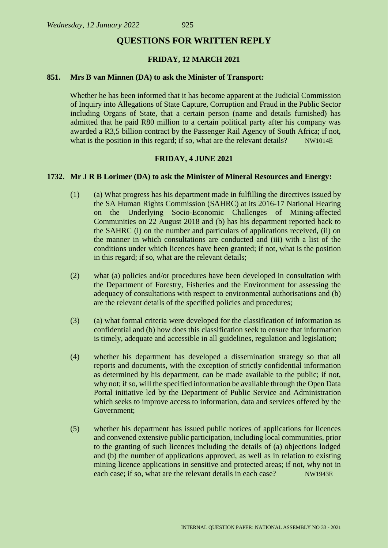#### **QUESTIONS FOR WRITTEN REPLY**

#### **FRIDAY, 12 MARCH 2021**

#### **851. Mrs B van Minnen (DA) to ask the Minister of Transport:**

Whether he has been informed that it has become apparent at the Judicial Commission of Inquiry into Allegations of State Capture, Corruption and Fraud in the Public Sector including Organs of State, that a certain person (name and details furnished) has admitted that he paid R80 million to a certain political party after his company was awarded a R3,5 billion contract by the Passenger Rail Agency of South Africa; if not, what is the position in this regard; if so, what are the relevant details? NW1014E

#### **FRIDAY, 4 JUNE 2021**

#### **1732. Mr J R B Lorimer (DA) to ask the Minister of Mineral Resources and Energy:**

- (1) (a) What progress has his department made in fulfilling the directives issued by the SA Human Rights Commission (SAHRC) at its 2016-17 National Hearing on the Underlying Socio-Economic Challenges of Mining-affected Communities on 22 August 2018 and (b) has his department reported back to the SAHRC (i) on the number and particulars of applications received, (ii) on the manner in which consultations are conducted and (iii) with a list of the conditions under which licences have been granted; if not, what is the position in this regard; if so, what are the relevant details;
- (2) what (a) policies and/or procedures have been developed in consultation with the Department of Forestry, Fisheries and the Environment for assessing the adequacy of consultations with respect to environmental authorisations and (b) are the relevant details of the specified policies and procedures;
- (3) (a) what formal criteria were developed for the classification of information as confidential and (b) how does this classification seek to ensure that information is timely, adequate and accessible in all guidelines, regulation and legislation;
- (4) whether his department has developed a dissemination strategy so that all reports and documents, with the exception of strictly confidential information as determined by his department, can be made available to the public; if not, why not; if so, will the specified information be available through the Open Data Portal initiative led by the Department of Public Service and Administration which seeks to improve access to information, data and services offered by the Government;
- (5) whether his department has issued public notices of applications for licences and convened extensive public participation, including local communities, prior to the granting of such licences including the details of (a) objections lodged and (b) the number of applications approved, as well as in relation to existing mining licence applications in sensitive and protected areas; if not, why not in each case; if so, what are the relevant details in each case? NW1943E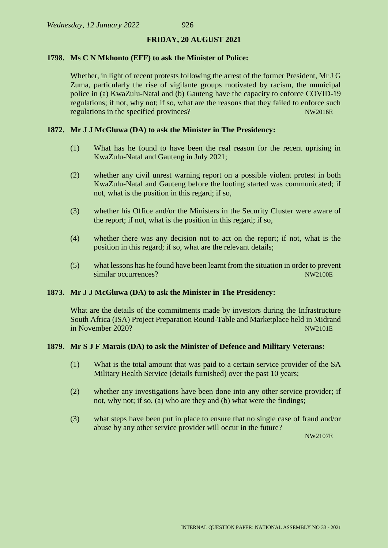#### **FRIDAY, 20 AUGUST 2021**

#### **1798. Ms C N Mkhonto (EFF) to ask the Minister of Police:**

Whether, in light of recent protests following the arrest of the former President, Mr J G Zuma, particularly the rise of vigilante groups motivated by racism, the municipal police in (a) KwaZulu-Natal and (b) Gauteng have the capacity to enforce COVID-19 regulations; if not, why not; if so, what are the reasons that they failed to enforce such regulations in the specified provinces? NW2016E

#### **1872. Mr J J McGluwa (DA) to ask the Minister in The Presidency:**

- (1) What has he found to have been the real reason for the recent uprising in KwaZulu-Natal and Gauteng in July 2021;
- (2) whether any civil unrest warning report on a possible violent protest in both KwaZulu-Natal and Gauteng before the looting started was communicated; if not, what is the position in this regard; if so,
- (3) whether his Office and/or the Ministers in the Security Cluster were aware of the report; if not, what is the position in this regard; if so,
- (4) whether there was any decision not to act on the report; if not, what is the position in this regard; if so, what are the relevant details;
- (5) what lessons has he found have been learnt from the situation in order to prevent similar occurrences? NW2100E

#### **1873. Mr J J McGluwa (DA) to ask the Minister in The Presidency:**

What are the details of the commitments made by investors during the Infrastructure South Africa (ISA) Project Preparation Round-Table and Marketplace held in Midrand  $\frac{1}{2}$  in November 2020?

#### **1879. Mr S J F Marais (DA) to ask the Minister of Defence and Military Veterans:**

- (1) What is the total amount that was paid to a certain service provider of the SA Military Health Service (details furnished) over the past 10 years;
- (2) whether any investigations have been done into any other service provider; if not, why not; if so, (a) who are they and (b) what were the findings;
- (3) what steps have been put in place to ensure that no single case of fraud and/or abuse by any other service provider will occur in the future?

NW2107E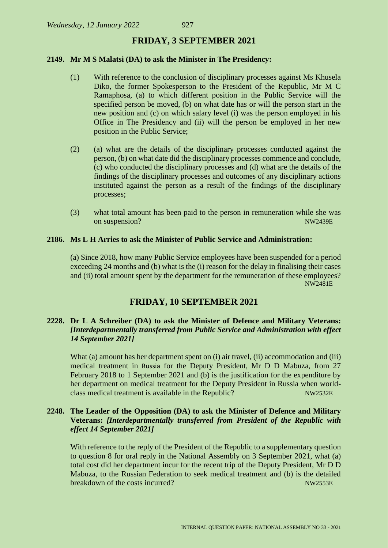#### **FRIDAY, 3 SEPTEMBER 2021**

#### **2149. Mr M S Malatsi (DA) to ask the Minister in The Presidency:**

- (1) With reference to the conclusion of disciplinary processes against Ms Khusela Diko, the former Spokesperson to the President of the Republic, Mr M C Ramaphosa, (a) to which different position in the Public Service will the specified person be moved, (b) on what date has or will the person start in the new position and (c) on which salary level (i) was the person employed in his Office in The Presidency and (ii) will the person be employed in her new position in the Public Service;
- (2) (a) what are the details of the disciplinary processes conducted against the person, (b) on what date did the disciplinary processes commence and conclude, (c) who conducted the disciplinary processes and (d) what are the details of the findings of the disciplinary processes and outcomes of any disciplinary actions instituted against the person as a result of the findings of the disciplinary processes;
- (3) what total amount has been paid to the person in remuneration while she was on suspension? NW2439E

#### **2186. Ms L H Arries to ask the Minister of Public Service and Administration:**

(a) Since 2018, how many Public Service employees have been suspended for a period exceeding 24 months and (b) what is the (i) reason for the delay in finalising their cases and (ii) total amount spent by the department for the remuneration of these employees? NW2481E

#### **FRIDAY, 10 SEPTEMBER 2021**

#### **2228. Dr L A Schreiber (DA) to ask the Minister of Defence and Military Veterans:**  *[Interdepartmentally transferred from Public Service and Administration with effect 14 September 2021]*

What (a) amount has her department spent on (i) air travel, (ii) accommodation and (iii) medical treatment in Russia for the Deputy President, Mr D D Mabuza, from 27 February 2018 to 1 September 2021 and (b) is the justification for the expenditure by her department on medical treatment for the Deputy President in Russia when worldclass medical treatment is available in the Republic? NW2532E

#### **2248. The Leader of the Opposition (DA) to ask the Minister of Defence and Military Veterans:** *[Interdepartmentally transferred from President of the Republic with effect 14 September 2021]*

With reference to the reply of the President of the Republic to a supplementary question to question 8 for oral reply in the National Assembly on 3 September 2021, what (a) total cost did her department incur for the recent trip of the Deputy President, Mr D D Mabuza, to the Russian Federation to seek medical treatment and (b) is the detailed breakdown of the costs incurred? NW2553E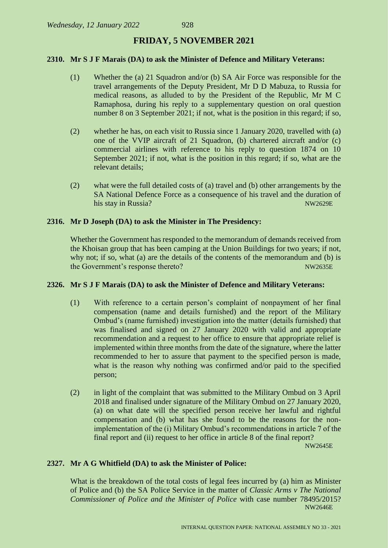#### **FRIDAY, 5 NOVEMBER 2021**

#### **2310. Mr S J F Marais (DA) to ask the Minister of Defence and Military Veterans:**

- (1) Whether the (a) 21 Squadron and/or (b) SA Air Force was responsible for the travel arrangements of the Deputy President, Mr D D Mabuza, to Russia for medical reasons, as alluded to by the President of the Republic, Mr M C Ramaphosa, during his reply to a supplementary question on oral question number 8 on 3 September 2021; if not, what is the position in this regard; if so,
- (2) whether he has, on each visit to Russia since 1 January 2020, travelled with (a) one of the VVIP aircraft of 21 Squadron, (b) chartered aircraft and/or (c) commercial airlines with reference to his reply to question 1874 on 10 September 2021; if not, what is the position in this regard; if so, what are the relevant details;
- (2) what were the full detailed costs of (a) travel and (b) other arrangements by the SA National Defence Force as a consequence of his travel and the duration of his stay in Russia? NW2629E

#### **2316. Mr D Joseph (DA) to ask the Minister in The Presidency:**

Whether the Government has responded to the memorandum of demands received from the Khoisan group that has been camping at the Union Buildings for two years; if not, why not; if so, what (a) are the details of the contents of the memorandum and (b) is the Government's response thereto? NW2635E

#### **2326. Mr S J F Marais (DA) to ask the Minister of Defence and Military Veterans:**

- (1) With reference to a certain person's complaint of nonpayment of her final compensation (name and details furnished) and the report of the Military Ombud's (name furnished) investigation into the matter (details furnished) that was finalised and signed on 27 January 2020 with valid and appropriate recommendation and a request to her office to ensure that appropriate relief is implemented within three months from the date of the signature, where the latter recommended to her to assure that payment to the specified person is made, what is the reason why nothing was confirmed and/or paid to the specified person;
- (2) in light of the complaint that was submitted to the Military Ombud on 3 April 2018 and finalised under signature of the Military Ombud on 27 January 2020, (a) on what date will the specified person receive her lawful and rightful compensation and (b) what has she found to be the reasons for the nonimplementation of the (i) Military Ombud's recommendations in article 7 of the final report and (ii) request to her office in article 8 of the final report?

NW2645E

#### **2327. Mr A G Whitfield (DA) to ask the Minister of Police:**

What is the breakdown of the total costs of legal fees incurred by (a) him as Minister of Police and (b) the SA Police Service in the matter of *Classic Arms v The National Commissioner of Police and the Minister of Police* with case number 78495/2015? NW2646E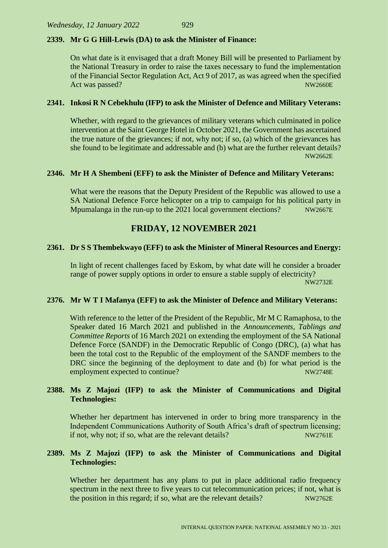#### **2339. Mr G G Hill-Lewis (DA) to ask the Minister of Finance:**

On what date is it envisaged that a draft Money Bill will be presented to Parliament by the National Treasury in order to raise the taxes necessary to fund the implementation of the Financial Sector Regulation Act, Act 9 of 2017, as was agreed when the specified Act was passed? NW2660E

#### **2341. Inkosi R N Cebekhulu (IFP) to ask the Minister of Defence and Military Veterans:**

Whether, with regard to the grievances of military veterans which culminated in police intervention at the Saint George Hotel in October 2021, the Government has ascertained the true nature of the grievances; if not, why not; if so, (a) which of the grievances has she found to be legitimate and addressable and (b) what are the further relevant details? NW2662E

#### **2346. Mr H A Shembeni (EFF) to ask the Minister of Defence and Military Veterans:**

What were the reasons that the Deputy President of the Republic was allowed to use a SA National Defence Force helicopter on a trip to campaign for his political party in Mpumalanga in the run-up to the 2021 local government elections? NW2667E

### **FRIDAY, 12 NOVEMBER 2021**

#### **2361. Dr S S Thembekwayo (EFF) to ask the Minister of Mineral Resources and Energy:**

In light of recent challenges faced by Eskom, by what date will he consider a broader range of power supply options in order to ensure a stable supply of electricity? NW2732E

#### **2376. Mr W T I Mafanya (EFF) to ask the Minister of Defence and Military Veterans:**

With reference to the letter of the President of the Republic, Mr M C Ramaphosa, to the Speaker dated 16 March 2021 and published in the *Announcements, Tablings and Committee Reports* of 16 March 2021 on extending the employment of the SA National Defence Force (SANDF) in the Democratic Republic of Congo (DRC), (a) what has been the total cost to the Republic of the employment of the SANDF members to the DRC since the beginning of the deployment to date and (b) for what period is the employment expected to continue? NW2748E

#### **2388. Ms Z Majozi (IFP) to ask the Minister of Communications and Digital Technologies:**

Whether her department has intervened in order to bring more transparency in the Independent Communications Authority of South Africa's draft of spectrum licensing; if not, why not; if so, what are the relevant details?  $NW2761E$ 

#### **2389. Ms Z Majozi (IFP) to ask the Minister of Communications and Digital Technologies:**

Whether her department has any plans to put in place additional radio frequency spectrum in the next three to five years to cut telecommunication prices; if not, what is the position in this regard; if so, what are the relevant details? NW2762E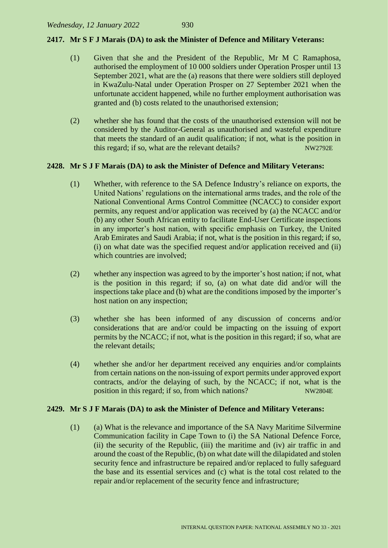#### **2417. Mr S F J Marais (DA) to ask the Minister of Defence and Military Veterans:**

- (1) Given that she and the President of the Republic, Mr M C Ramaphosa, authorised the employment of 10 000 soldiers under Operation Prosper until 13 September 2021, what are the (a) reasons that there were soldiers still deployed in KwaZulu-Natal under Operation Prosper on 27 September 2021 when the unfortunate accident happened, while no further employment authorisation was granted and (b) costs related to the unauthorised extension;
- (2) whether she has found that the costs of the unauthorised extension will not be considered by the Auditor-General as unauthorised and wasteful expenditure that meets the standard of an audit qualification; if not, what is the position in this regard; if so, what are the relevant details? NW2792E

#### **2428. Mr S J F Marais (DA) to ask the Minister of Defence and Military Veterans:**

- (1) Whether, with reference to the SA Defence Industry's reliance on exports, the United Nations' regulations on the international arms trades, and the role of the National Conventional Arms Control Committee (NCACC) to consider export permits, any request and/or application was received by (a) the NCACC and/or (b) any other South African entity to facilitate End-User Certificate inspections in any importer's host nation, with specific emphasis on Turkey, the United Arab Emirates and Saudi Arabia; if not, what is the position in this regard; if so, (i) on what date was the specified request and/or application received and (ii) which countries are involved:
- (2) whether any inspection was agreed to by the importer's host nation; if not, what is the position in this regard; if so, (a) on what date did and/or will the inspections take place and (b) what are the conditions imposed by the importer's host nation on any inspection;
- (3) whether she has been informed of any discussion of concerns and/or considerations that are and/or could be impacting on the issuing of export permits by the NCACC; if not, what is the position in this regard; if so, what are the relevant details;
- (4) whether she and/or her department received any enquiries and/or complaints from certain nations on the non-issuing of export permits under approved export contracts, and/or the delaying of such, by the NCACC; if not, what is the position in this regard; if so, from which nations? NW2804E

#### **2429. Mr S J F Marais (DA) to ask the Minister of Defence and Military Veterans:**

(1) (a) What is the relevance and importance of the SA Navy Maritime Silvermine Communication facility in Cape Town to (i) the SA National Defence Force, (ii) the security of the Republic, (iii) the maritime and (iv) air traffic in and around the coast of the Republic, (b) on what date will the dilapidated and stolen security fence and infrastructure be repaired and/or replaced to fully safeguard the base and its essential services and (c) what is the total cost related to the repair and/or replacement of the security fence and infrastructure;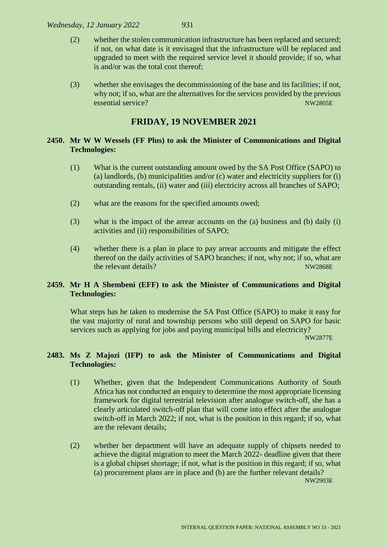*Wednesday, 12 January 2022* 931

(3) whether she envisages the decommissioning of the base and its facilities; if not, why not; if so, what are the alternatives for the services provided by the previous essential service? NW2805E

# **FRIDAY, 19 NOVEMBER 2021**

#### **2450. Mr W W Wessels (FF Plus) to ask the Minister of Communications and Digital Technologies:**

- (1) What is the current outstanding amount owed by the SA Post Office (SAPO) to (a) landlords, (b) municipalities and/or (c) water and electricity suppliers for (i) outstanding rentals, (ii) water and (iii) electricity across all branches of SAPO;
- (2) what are the reasons for the specified amounts owed;
- (3) what is the impact of the arrear accounts on the (a) business and (b) daily (i) activities and (ii) responsibilities of SAPO;
- (4) whether there is a plan in place to pay arrear accounts and mitigate the effect thereof on the daily activities of SAPO branches; if not, why not; if so, what are the relevant details? NW2868E

#### **2459. Mr H A Shembeni (EFF) to ask the Minister of Communications and Digital Technologies:**

What steps has he taken to modernise the SA Post Office (SAPO) to make it easy for the vast majority of rural and township persons who still depend on SAPO for basic services such as applying for jobs and paying municipal bills and electricity?

NW2877E

#### **2483. Ms Z Majozi (IFP) to ask the Minister of Communications and Digital Technologies:**

- (1) Whether, given that the Independent Communications Authority of South Africa has not conducted an enquiry to determine the most appropriate licensing framework for digital terrestrial television after analogue switch-off, she has a clearly articulated switch-off plan that will come into effect after the analogue switch-off in March 2022; if not, what is the position in this regard; if so, what are the relevant details;
- (2) whether her department will have an adequate supply of chipsets needed to achieve the digital migration to meet the March 2022- deadline given that there is a global chipset shortage; if not, what is the position in this regard; if so, what (a) procurement plans are in place and (b) are the further relevant details? NW2903E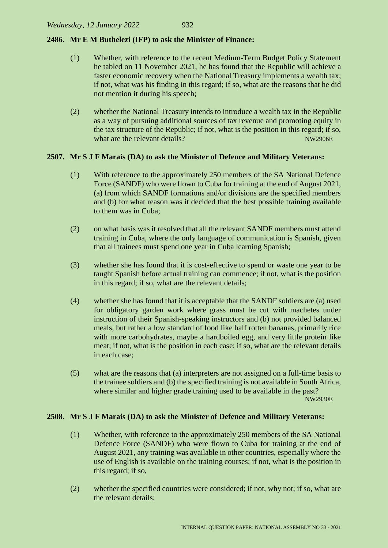#### **2486. Mr E M Buthelezi (IFP) to ask the Minister of Finance:**

- (1) Whether, with reference to the recent Medium-Term Budget Policy Statement he tabled on 11 November 2021, he has found that the Republic will achieve a faster economic recovery when the National Treasury implements a wealth tax; if not, what was his finding in this regard; if so, what are the reasons that he did not mention it during his speech;
- (2) whether the National Treasury intends to introduce a wealth tax in the Republic as a way of pursuing additional sources of tax revenue and promoting equity in the tax structure of the Republic; if not, what is the position in this regard; if so, what are the relevant details? NW2906E

#### **2507. Mr S J F Marais (DA) to ask the Minister of Defence and Military Veterans:**

- (1) With reference to the approximately 250 members of the SA National Defence Force (SANDF) who were flown to Cuba for training at the end of August 2021, (a) from which SANDF formations and/or divisions are the specified members and (b) for what reason was it decided that the best possible training available to them was in Cuba;
- (2) on what basis was it resolved that all the relevant SANDF members must attend training in Cuba, where the only language of communication is Spanish, given that all trainees must spend one year in Cuba learning Spanish;
- (3) whether she has found that it is cost-effective to spend or waste one year to be taught Spanish before actual training can commence; if not, what is the position in this regard; if so, what are the relevant details;
- (4) whether she has found that it is acceptable that the SANDF soldiers are (a) used for obligatory garden work where grass must be cut with machetes under instruction of their Spanish-speaking instructors and (b) not provided balanced meals, but rather a low standard of food like half rotten bananas, primarily rice with more carbohydrates, maybe a hardboiled egg, and very little protein like meat; if not, what is the position in each case; if so, what are the relevant details in each case;
- (5) what are the reasons that (a) interpreters are not assigned on a full-time basis to the trainee soldiers and (b) the specified training is not available in South Africa, where similar and higher grade training used to be available in the past? NW2930E

#### **2508. Mr S J F Marais (DA) to ask the Minister of Defence and Military Veterans:**

- (1) Whether, with reference to the approximately 250 members of the SA National Defence Force (SANDF) who were flown to Cuba for training at the end of August 2021, any training was available in other countries, especially where the use of English is available on the training courses; if not, what is the position in this regard; if so,
- (2) whether the specified countries were considered; if not, why not; if so, what are the relevant details;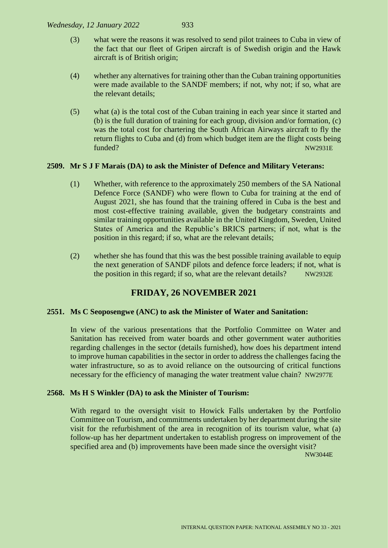- (3) what were the reasons it was resolved to send pilot trainees to Cuba in view of the fact that our fleet of Gripen aircraft is of Swedish origin and the Hawk aircraft is of British origin;
- (4) whether any alternatives for training other than the Cuban training opportunities were made available to the SANDF members; if not, why not; if so, what are the relevant details;
- (5) what (a) is the total cost of the Cuban training in each year since it started and (b) is the full duration of training for each group, division and/or formation, (c) was the total cost for chartering the South African Airways aircraft to fly the return flights to Cuba and (d) from which budget item are the flight costs being funded? NW2931E

#### **2509. Mr S J F Marais (DA) to ask the Minister of Defence and Military Veterans:**

- (1) Whether, with reference to the approximately 250 members of the SA National Defence Force (SANDF) who were flown to Cuba for training at the end of August 2021, she has found that the training offered in Cuba is the best and most cost-effective training available, given the budgetary constraints and similar training opportunities available in the United Kingdom, Sweden, United States of America and the Republic's BRICS partners; if not, what is the position in this regard; if so, what are the relevant details;
- (2) whether she has found that this was the best possible training available to equip the next generation of SANDF pilots and defence force leaders; if not, what is the position in this regard; if so, what are the relevant details? NW2932E

# **FRIDAY, 26 NOVEMBER 2021**

#### **2551. Ms C Seoposengwe (ANC) to ask the Minister of Water and Sanitation:**

In view of the various presentations that the Portfolio Committee on Water and Sanitation has received from water boards and other government water authorities regarding challenges in the sector (details furnished), how does his department intend to improve human capabilities in the sector in order to address the challenges facing the water infrastructure, so as to avoid reliance on the outsourcing of critical functions necessary for the efficiency of managing the water treatment value chain? NW2977E

#### **2568. Ms H S Winkler (DA) to ask the Minister of Tourism:**

With regard to the oversight visit to Howick Falls undertaken by the Portfolio Committee on Tourism, and commitments undertaken by her department during the site visit for the refurbishment of the area in recognition of its tourism value, what (a) follow-up has her department undertaken to establish progress on improvement of the specified area and (b) improvements have been made since the oversight visit?

NW3044E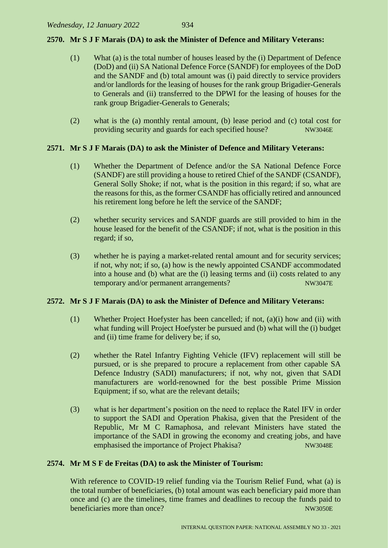#### **2570. Mr S J F Marais (DA) to ask the Minister of Defence and Military Veterans:**

- (1) What (a) is the total number of houses leased by the (i) Department of Defence (DoD) and (ii) SA National Defence Force (SANDF) for employees of the DoD and the SANDF and (b) total amount was (i) paid directly to service providers and/or landlords for the leasing of houses for the rank group Brigadier-Generals to Generals and (ii) transferred to the DPWI for the leasing of houses for the rank group Brigadier-Generals to Generals;
- (2) what is the (a) monthly rental amount, (b) lease period and (c) total cost for providing security and guards for each specified house? NW3046E

#### **2571. Mr S J F Marais (DA) to ask the Minister of Defence and Military Veterans:**

- (1) Whether the Department of Defence and/or the SA National Defence Force (SANDF) are still providing a house to retired Chief of the SANDF (CSANDF), General Solly Shoke; if not, what is the position in this regard; if so, what are the reasons for this, as the former CSANDF has officially retired and announced his retirement long before he left the service of the SANDF;
- (2) whether security services and SANDF guards are still provided to him in the house leased for the benefit of the CSANDF; if not, what is the position in this regard; if so,
- (3) whether he is paying a market-related rental amount and for security services; if not, why not; if so, (a) how is the newly appointed CSANDF accommodated into a house and (b) what are the (i) leasing terms and (ii) costs related to any temporary and/or permanent arrangements? NW3047E

#### **2572. Mr S J F Marais (DA) to ask the Minister of Defence and Military Veterans:**

- (1) Whether Project Hoefyster has been cancelled; if not, (a)(i) how and (ii) with what funding will Project Hoefyster be pursued and (b) what will the (i) budget and (ii) time frame for delivery be; if so,
- (2) whether the Ratel Infantry Fighting Vehicle (IFV) replacement will still be pursued, or is she prepared to procure a replacement from other capable SA Defence Industry (SADI) manufacturers; if not, why not, given that SADI manufacturers are world-renowned for the best possible Prime Mission Equipment; if so, what are the relevant details;
- (3) what is her department's position on the need to replace the Ratel IFV in order to support the SADI and Operation Phakisa, given that the President of the Republic, Mr M C Ramaphosa, and relevant Ministers have stated the importance of the SADI in growing the economy and creating jobs, and have emphasised the importance of Project Phakisa? NW3048E

#### **2574. Mr M S F de Freitas (DA) to ask the Minister of Tourism:**

With reference to COVID-19 relief funding via the Tourism Relief Fund, what (a) is the total number of beneficiaries, (b) total amount was each beneficiary paid more than once and (c) are the timelines, time frames and deadlines to recoup the funds paid to beneficiaries more than once? NW3050E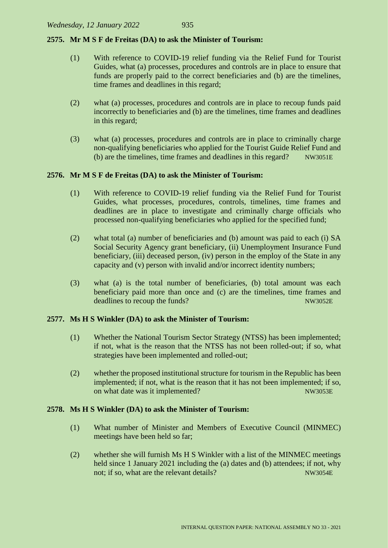#### **2575. Mr M S F de Freitas (DA) to ask the Minister of Tourism:**

- (1) With reference to COVID-19 relief funding via the Relief Fund for Tourist Guides, what (a) processes, procedures and controls are in place to ensure that funds are properly paid to the correct beneficiaries and (b) are the timelines, time frames and deadlines in this regard;
- (2) what (a) processes, procedures and controls are in place to recoup funds paid incorrectly to beneficiaries and (b) are the timelines, time frames and deadlines in this regard;
- (3) what (a) processes, procedures and controls are in place to criminally charge non-qualifying beneficiaries who applied for the Tourist Guide Relief Fund and (b) are the timelines, time frames and deadlines in this regard? NW3051E

#### **2576. Mr M S F de Freitas (DA) to ask the Minister of Tourism:**

- (1) With reference to COVID-19 relief funding via the Relief Fund for Tourist Guides, what processes, procedures, controls, timelines, time frames and deadlines are in place to investigate and criminally charge officials who processed non-qualifying beneficiaries who applied for the specified fund;
- (2) what total (a) number of beneficiaries and (b) amount was paid to each (i) SA Social Security Agency grant beneficiary, (ii) Unemployment Insurance Fund beneficiary, (iii) deceased person, (iv) person in the employ of the State in any capacity and (v) person with invalid and/or incorrect identity numbers;
- (3) what (a) is the total number of beneficiaries, (b) total amount was each beneficiary paid more than once and (c) are the timelines, time frames and deadlines to recoup the funds? NW3052E

#### **2577. Ms H S Winkler (DA) to ask the Minister of Tourism:**

- (1) Whether the National Tourism Sector Strategy (NTSS) has been implemented; if not, what is the reason that the NTSS has not been rolled-out; if so, what strategies have been implemented and rolled-out;
- (2) whether the proposed institutional structure for tourism in the Republic has been implemented; if not, what is the reason that it has not been implemented; if so, on what date was it implemented? NW3053E

#### **2578. Ms H S Winkler (DA) to ask the Minister of Tourism:**

- (1) What number of Minister and Members of Executive Council (MINMEC) meetings have been held so far;
- (2) whether she will furnish Ms H S Winkler with a list of the MINMEC meetings held since 1 January 2021 including the (a) dates and (b) attendees; if not, why not; if so, what are the relevant details? NW3054E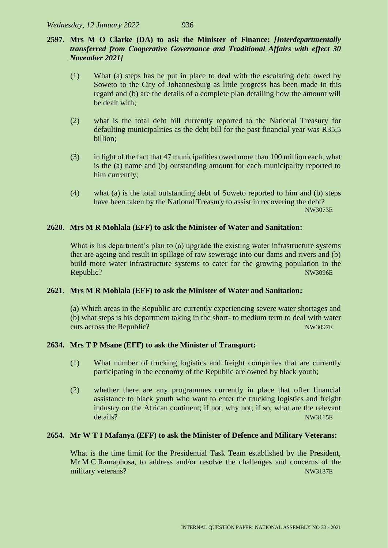# **2597. Mrs M O Clarke (DA) to ask the Minister of Finance:** *[Interdepartmentally transferred from Cooperative Governance and Traditional Affairs with effect 30 November 2021]*

- (1) What (a) steps has he put in place to deal with the escalating debt owed by Soweto to the City of Johannesburg as little progress has been made in this regard and (b) are the details of a complete plan detailing how the amount will be dealt with;
- (2) what is the total debt bill currently reported to the National Treasury for defaulting municipalities as the debt bill for the past financial year was R35,5 billion;
- (3) in light of the fact that 47 municipalities owed more than 100 million each, what is the (a) name and (b) outstanding amount for each municipality reported to him currently;
- (4) what (a) is the total outstanding debt of Soweto reported to him and (b) steps have been taken by the National Treasury to assist in recovering the debt? NW3073E

#### **2620. Mrs M R Mohlala (EFF) to ask the Minister of Water and Sanitation:**

What is his department's plan to (a) upgrade the existing water infrastructure systems that are ageing and result in spillage of raw sewerage into our dams and rivers and (b) build more water infrastructure systems to cater for the growing population in the Republic? NW3096E

#### **2621. Mrs M R Mohlala (EFF) to ask the Minister of Water and Sanitation:**

(a) Which areas in the Republic are currently experiencing severe water shortages and (b) what steps is his department taking in the short- to medium term to deal with water cuts across the Republic? NW3097E

#### **2634. Mrs T P Msane (EFF) to ask the Minister of Transport:**

- (1) What number of trucking logistics and freight companies that are currently participating in the economy of the Republic are owned by black youth;
- (2) whether there are any programmes currently in place that offer financial assistance to black youth who want to enter the trucking logistics and freight industry on the African continent; if not, why not; if so, what are the relevant details? NW3115E

#### **2654. Mr W T I Mafanya (EFF) to ask the Minister of Defence and Military Veterans:**

What is the time limit for the Presidential Task Team established by the President, Mr M C Ramaphosa, to address and/or resolve the challenges and concerns of the military veterans? NW3137E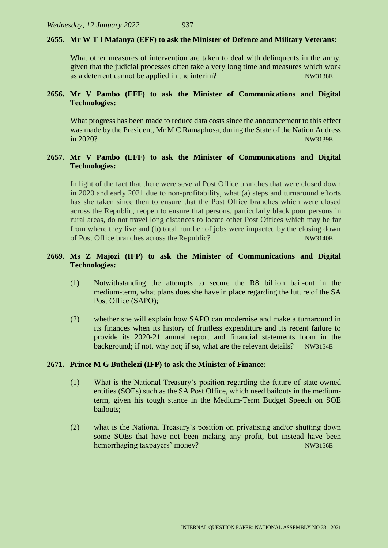#### **2655. Mr W T I Mafanya (EFF) to ask the Minister of Defence and Military Veterans:**

What other measures of intervention are taken to deal with delinquents in the army, given that the judicial processes often take a very long time and measures which work as a deterrent cannot be applied in the interim?

#### **2656. Mr V Pambo (EFF) to ask the Minister of Communications and Digital Technologies:**

What progress has been made to reduce data costs since the announcement to this effect was made by the President, Mr M C Ramaphosa, during the State of the Nation Address in 2020? NW3139E

#### **2657. Mr V Pambo (EFF) to ask the Minister of Communications and Digital Technologies:**

In light of the fact that there were several Post Office branches that were closed down in 2020 and early 2021 due to non-profitability, what (a) steps and turnaround efforts has she taken since then to ensure that the Post Office branches which were closed across the Republic, reopen to ensure that persons, particularly black poor persons in rural areas, do not travel long distances to locate other Post Offices which may be far from where they live and (b) total number of jobs were impacted by the closing down of Post Office branches across the Republic? NW3140E

#### **2669. Ms Z Majozi (IFP) to ask the Minister of Communications and Digital Technologies:**

- (1) Notwithstanding the attempts to secure the R8 billion bail-out in the medium-term, what plans does she have in place regarding the future of the SA Post Office (SAPO);
- (2) whether she will explain how SAPO can modernise and make a turnaround in its finances when its history of fruitless expenditure and its recent failure to provide its 2020-21 annual report and financial statements loom in the background; if not, why not; if so, what are the relevant details? NW3154E

#### **2671. Prince M G Buthelezi (IFP) to ask the Minister of Finance:**

- (1) What is the National Treasury's position regarding the future of state-owned entities (SOEs) such as the SA Post Office, which need bailouts in the mediumterm, given his tough stance in the Medium-Term Budget Speech on SOE bailouts;
- (2) what is the National Treasury's position on privatising and/or shutting down some SOEs that have not been making any profit, but instead have been hemorrhaging taxpayers' money? NW3156E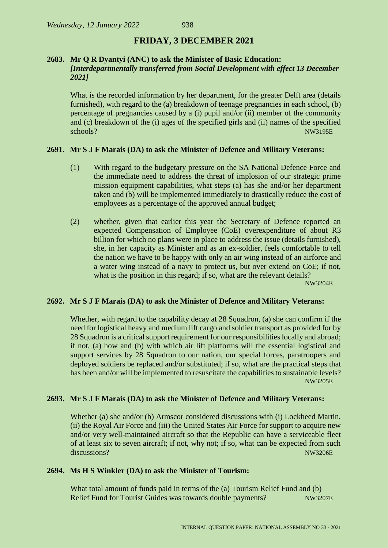#### **FRIDAY, 3 DECEMBER 2021**

#### **2683. Mr Q R Dyantyi (ANC) to ask the Minister of Basic Education:** *[Interdepartmentally transferred from Social Development with effect 13 December 2021]*

What is the recorded information by her department, for the greater Delft area (details furnished), with regard to the (a) breakdown of teenage pregnancies in each school, (b) percentage of pregnancies caused by a (i) pupil and/or (ii) member of the community and (c) breakdown of the (i) ages of the specified girls and (ii) names of the specified schools? NW3195E

#### **2691. Mr S J F Marais (DA) to ask the Minister of Defence and Military Veterans:**

- (1) With regard to the budgetary pressure on the SA National Defence Force and the immediate need to address the threat of implosion of our strategic prime mission equipment capabilities, what steps (a) has she and/or her department taken and (b) will be implemented immediately to drastically reduce the cost of employees as a percentage of the approved annual budget;
- (2) whether, given that earlier this year the Secretary of Defence reported an expected Compensation of Employee (CoE) overexpenditure of about R3 billion for which no plans were in place to address the issue (details furnished), she, in her capacity as Minister and as an ex-soldier, feels comfortable to tell the nation we have to be happy with only an air wing instead of an airforce and a water wing instead of a navy to protect us, but over extend on CoE; if not, what is the position in this regard; if so, what are the relevant details?

NW3204E

#### **2692. Mr S J F Marais (DA) to ask the Minister of Defence and Military Veterans:**

Whether, with regard to the capability decay at 28 Squadron, (a) she can confirm if the need for logistical heavy and medium lift cargo and soldier transport as provided for by 28 Squadron is a critical support requirement for our responsibilities locally and abroad; if not, (a) how and (b) with which air lift platforms will the essential logistical and support services by 28 Squadron to our nation, our special forces, paratroopers and deployed soldiers be replaced and/or substituted; if so, what are the practical steps that has been and/or will be implemented to resuscitate the capabilities to sustainable levels? NW3205E

#### **2693. Mr S J F Marais (DA) to ask the Minister of Defence and Military Veterans:**

Whether (a) she and/or (b) Armscor considered discussions with (i) Lockheed Martin, (ii) the Royal Air Force and (iii) the United States Air Force for support to acquire new and/or very well-maintained aircraft so that the Republic can have a serviceable fleet of at least six to seven aircraft; if not, why not; if so, what can be expected from such discussions? NW3206E

#### **2694. Ms H S Winkler (DA) to ask the Minister of Tourism:**

What total amount of funds paid in terms of the (a) Tourism Relief Fund and (b) Relief Fund for Tourist Guides was towards double payments? NW3207E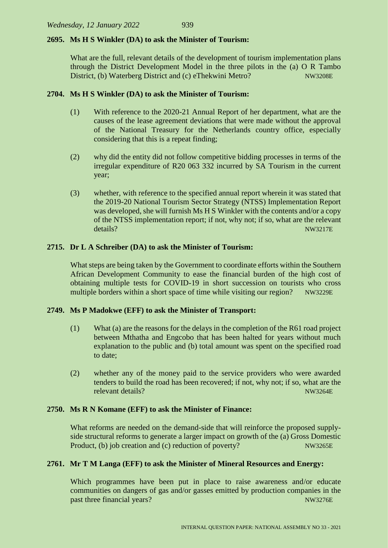#### **2695. Ms H S Winkler (DA) to ask the Minister of Tourism:**

What are the full, relevant details of the development of tourism implementation plans through the District Development Model in the three pilots in the (a) O R Tambo District, (b) Waterberg District and (c) eThekwini Metro? NW3208E

#### **2704. Ms H S Winkler (DA) to ask the Minister of Tourism:**

- (1) With reference to the 2020-21 Annual Report of her department, what are the causes of the lease agreement deviations that were made without the approval of the National Treasury for the Netherlands country office, especially considering that this is a repeat finding;
- (2) why did the entity did not follow competitive bidding processes in terms of the irregular expenditure of R20 063 332 incurred by SA Tourism in the current year;
- (3) whether, with reference to the specified annual report wherein it was stated that the 2019-20 National Tourism Sector Strategy (NTSS) Implementation Report was developed, she will furnish Ms H S Winkler with the contents and/or a copy of the NTSS implementation report; if not, why not; if so, what are the relevant details? NW3217E

#### **2715. Dr L A Schreiber (DA) to ask the Minister of Tourism:**

What steps are being taken by the Government to coordinate efforts within the Southern African Development Community to ease the financial burden of the high cost of obtaining multiple tests for COVID-19 in short succession on tourists who cross multiple borders within a short space of time while visiting our region? NW3229E

#### **2749. Ms P Madokwe (EFF) to ask the Minister of Transport:**

- (1) What (a) are the reasons for the delays in the completion of the R61 road project between Mthatha and Engcobo that has been halted for years without much explanation to the public and (b) total amount was spent on the specified road to date;
- (2) whether any of the money paid to the service providers who were awarded tenders to build the road has been recovered; if not, why not; if so, what are the relevant details? NW3264E

#### **2750. Ms R N Komane (EFF) to ask the Minister of Finance:**

What reforms are needed on the demand-side that will reinforce the proposed supplyside structural reforms to generate a larger impact on growth of the (a) Gross Domestic Product, (b) job creation and (c) reduction of poverty? NW3265E

#### **2761. Mr T M Langa (EFF) to ask the Minister of Mineral Resources and Energy:**

Which programmes have been put in place to raise awareness and/or educate communities on dangers of gas and/or gasses emitted by production companies in the past three financial years? NW3276E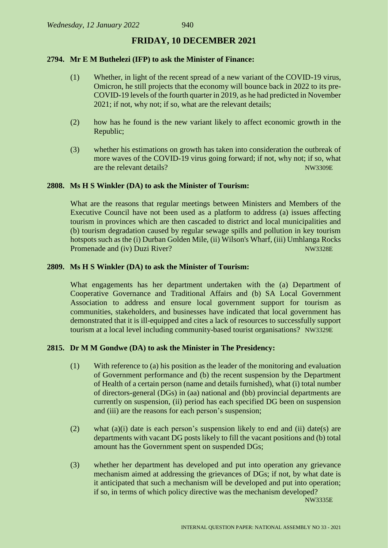## **FRIDAY, 10 DECEMBER 2021**

#### **2794. Mr E M Buthelezi (IFP) to ask the Minister of Finance:**

- (1) Whether, in light of the recent spread of a new variant of the COVID-19 virus, Omicron, he still projects that the economy will bounce back in 2022 to its pre-COVID-19 levels of the fourth quarter in 2019, as he had predicted in November 2021; if not, why not; if so, what are the relevant details;
- (2) how has he found is the new variant likely to affect economic growth in the Republic;
- (3) whether his estimations on growth has taken into consideration the outbreak of more waves of the COVID-19 virus going forward; if not, why not; if so, what are the relevant details? NW3309E

#### **2808. Ms H S Winkler (DA) to ask the Minister of Tourism:**

What are the reasons that regular meetings between Ministers and Members of the Executive Council have not been used as a platform to address (a) issues affecting tourism in provinces which are then cascaded to district and local municipalities and (b) tourism degradation caused by regular sewage spills and pollution in key tourism hotspots such as the (i) Durban Golden Mile, (ii) Wilson's Wharf, (iii) Umhlanga Rocks Promenade and (iv) Duzi River? NW3328E

#### **2809. Ms H S Winkler (DA) to ask the Minister of Tourism:**

What engagements has her department undertaken with the (a) Department of Cooperative Governance and Traditional Affairs and (b) SA Local Government Association to address and ensure local government support for tourism as communities, stakeholders, and businesses have indicated that local government has demonstrated that it is ill-equipped and cites a lack of resources to successfully support tourism at a local level including community-based tourist organisations? NW3329E

#### **2815. Dr M M Gondwe (DA) to ask the Minister in The Presidency:**

- (1) With reference to (a) his position as the leader of the monitoring and evaluation of Government performance and (b) the recent suspension by the Department of Health of a certain person (name and details furnished), what (i) total number of directors-general (DGs) in (aa) national and (bb) provincial departments are currently on suspension, (ii) period has each specified DG been on suspension and (iii) are the reasons for each person's suspension;
- (2) what (a)(i) date is each person's suspension likely to end and (ii) date(s) are departments with vacant DG posts likely to fill the vacant positions and (b) total amount has the Government spent on suspended DGs;
- (3) whether her department has developed and put into operation any grievance mechanism aimed at addressing the grievances of DGs; if not, by what date is it anticipated that such a mechanism will be developed and put into operation; if so, in terms of which policy directive was the mechanism developed?

NW3335E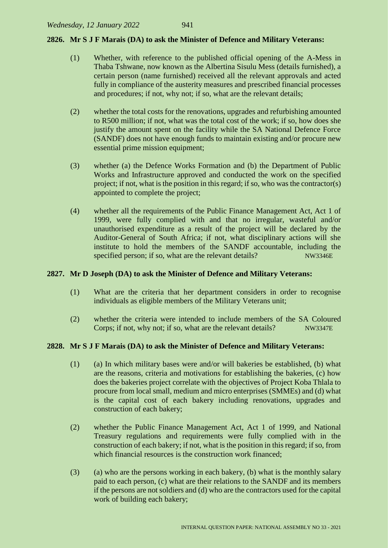#### **2826. Mr S J F Marais (DA) to ask the Minister of Defence and Military Veterans:**

- (1) Whether, with reference to the published official opening of the A-Mess in Thaba Tshwane, now known as the Albertina Sisulu Mess (details furnished), a certain person (name furnished) received all the relevant approvals and acted fully in compliance of the austerity measures and prescribed financial processes and procedures; if not, why not; if so, what are the relevant details;
- (2) whether the total costs for the renovations, upgrades and refurbishing amounted to R500 million; if not, what was the total cost of the work; if so, how does she justify the amount spent on the facility while the SA National Defence Force (SANDF) does not have enough funds to maintain existing and/or procure new essential prime mission equipment;
- (3) whether (a) the Defence Works Formation and (b) the Department of Public Works and Infrastructure approved and conducted the work on the specified project; if not, what is the position in this regard; if so, who was the contractor(s) appointed to complete the project;
- (4) whether all the requirements of the Public Finance Management Act, Act 1 of 1999, were fully complied with and that no irregular, wasteful and/or unauthorised expenditure as a result of the project will be declared by the Auditor-General of South Africa; if not, what disciplinary actions will she institute to hold the members of the SANDF accountable, including the specified person; if so, what are the relevant details? NW3346E

#### **2827. Mr D Joseph (DA) to ask the Minister of Defence and Military Veterans:**

- (1) What are the criteria that her department considers in order to recognise individuals as eligible members of the Military Veterans unit;
- (2) whether the criteria were intended to include members of the SA Coloured Corps; if not, why not; if so, what are the relevant details? NW3347E

#### **2828. Mr S J F Marais (DA) to ask the Minister of Defence and Military Veterans:**

- (1) (a) In which military bases were and/or will bakeries be established, (b) what are the reasons, criteria and motivations for establishing the bakeries, (c) how does the bakeries project correlate with the objectives of Project Koba Thlala to procure from local small, medium and micro enterprises (SMMEs) and (d) what is the capital cost of each bakery including renovations, upgrades and construction of each bakery;
- (2) whether the Public Finance Management Act, Act 1 of 1999, and National Treasury regulations and requirements were fully complied with in the construction of each bakery; if not, what is the position in this regard; if so, from which financial resources is the construction work financed:
- (3) (a) who are the persons working in each bakery, (b) what is the monthly salary paid to each person, (c) what are their relations to the SANDF and its members if the persons are not soldiers and (d) who are the contractors used for the capital work of building each bakery;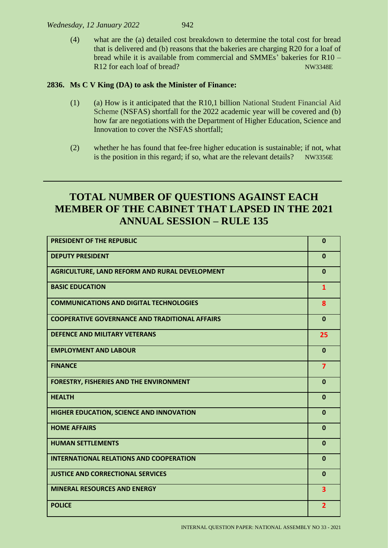#### *Wednesday, 12 January 2022* 942

(4) what are the (a) detailed cost breakdown to determine the total cost for bread that is delivered and (b) reasons that the bakeries are charging R20 for a loaf of bread while it is available from commercial and SMMEs' bakeries for R10 – R12 for each loaf of bread? NW3348E

# **2836. Ms C V King (DA) to ask the Minister of Finance:**

- (1) (a) How is it anticipated that the R10,1 billion National Student Financial Aid Scheme (NSFAS) shortfall for the 2022 academic year will be covered and (b) how far are negotiations with the Department of Higher Education, Science and Innovation to cover the NSFAS shortfall;
- (2) whether he has found that fee-free higher education is sustainable; if not, what is the position in this regard; if so, what are the relevant details? NW3356E

# **TOTAL NUMBER OF QUESTIONS AGAINST EACH MEMBER OF THE CABINET THAT LAPSED IN THE 2021 ANNUAL SESSION – RULE 135**

| <b>PRESIDENT OF THE REPUBLIC</b>                      | $\mathbf{0}$            |
|-------------------------------------------------------|-------------------------|
| <b>DEPUTY PRESIDENT</b>                               | $\mathbf{0}$            |
| AGRICULTURE, LAND REFORM AND RURAL DEVELOPMENT        | $\mathbf{0}$            |
| <b>BASIC EDUCATION</b>                                | $\mathbf{1}$            |
| <b>COMMUNICATIONS AND DIGITAL TECHNOLOGIES</b>        | 8                       |
| <b>COOPERATIVE GOVERNANCE AND TRADITIONAL AFFAIRS</b> | $\mathbf{0}$            |
| <b>DEFENCE AND MILITARY VETERANS</b>                  | 25                      |
| <b>EMPLOYMENT AND LABOUR</b>                          | $\mathbf{0}$            |
| <b>FINANCE</b>                                        | $\overline{7}$          |
| <b>FORESTRY, FISHERIES AND THE ENVIRONMENT</b>        | $\mathbf 0$             |
| <b>HEALTH</b>                                         | $\mathbf 0$             |
| HIGHER EDUCATION, SCIENCE AND INNOVATION              | $\mathbf 0$             |
| <b>HOME AFFAIRS</b>                                   | $\mathbf{0}$            |
| <b>HUMAN SETTLEMENTS</b>                              | $\mathbf{0}$            |
| <b>INTERNATIONAL RELATIONS AND COOPERATION</b>        | $\mathbf{0}$            |
| <b>JUSTICE AND CORRECTIONAL SERVICES</b>              | $\mathbf{0}$            |
| <b>MINERAL RESOURCES AND ENERGY</b>                   | $\overline{\mathbf{3}}$ |
| <b>POLICE</b>                                         | $\overline{2}$          |